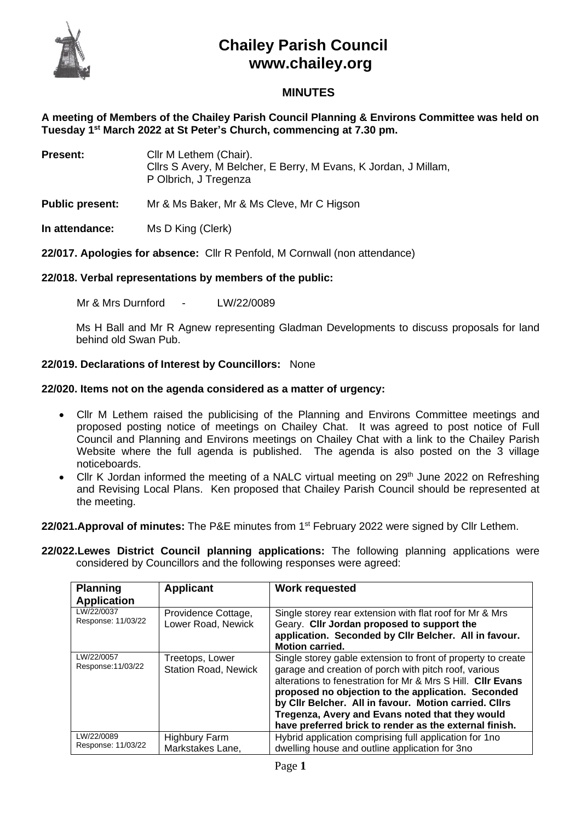

# **Chailey Parish Council www.chailey.org**

## **MINUTES**

**A meeting of Members of the Chailey Parish Council Planning & Environs Committee was held on Tuesday 1 st March 2022 at St Peter's Church, commencing at 7.30 pm.** 

| <b>Present:</b> | Cllr M Lethem (Chair).<br>Cilrs S Avery, M Belcher, E Berry, M Evans, K Jordan, J Millam,<br>P Olbrich, J Tregenza |
|-----------------|--------------------------------------------------------------------------------------------------------------------|
|                 |                                                                                                                    |

**Public present:** Mr & Ms Baker, Mr & Ms Cleve, Mr C Higson

**In attendance:** Ms D King (Clerk)

**22/017. Apologies for absence:** Cllr R Penfold, M Cornwall (non attendance)

#### **22/018. Verbal representations by members of the public:**

Mr & Mrs Durnford - LW/22/0089

Ms H Ball and Mr R Agnew representing Gladman Developments to discuss proposals for land behind old Swan Pub.

### **22/019. Declarations of Interest by Councillors:** None

#### **22/020. Items not on the agenda considered as a matter of urgency:**

- Cllr M Lethem raised the publicising of the Planning and Environs Committee meetings and proposed posting notice of meetings on Chailey Chat. It was agreed to post notice of Full Council and Planning and Environs meetings on Chailey Chat with a link to the Chailey Parish Website where the full agenda is published. The agenda is also posted on the 3 village noticeboards.
- Cllr K Jordan informed the meeting of a NALC virtual meeting on 29<sup>th</sup> June 2022 on Refreshing and Revising Local Plans. Ken proposed that Chailey Parish Council should be represented at the meeting.

22/021.Approval of minutes: The P&E minutes from 1<sup>st</sup> February 2022 were signed by Cllr Lethem.

**22/022.Lewes District Council planning applications:** The following planning applications were considered by Councillors and the following responses were agreed:

| <b>Planning</b><br><b>Application</b> | <b>Applicant</b>                               | <b>Work requested</b>                                                                                                                                                                                                                                                                                                                                                                                            |
|---------------------------------------|------------------------------------------------|------------------------------------------------------------------------------------------------------------------------------------------------------------------------------------------------------------------------------------------------------------------------------------------------------------------------------------------------------------------------------------------------------------------|
| LW/22/0037<br>Response: 11/03/22      | Providence Cottage,<br>Lower Road, Newick      | Single storey rear extension with flat roof for Mr & Mrs<br>Geary. Cllr Jordan proposed to support the<br>application. Seconded by Cllr Belcher. All in favour.<br><b>Motion carried.</b>                                                                                                                                                                                                                        |
| LW/22/0057<br>Response: 11/03/22      | Treetops, Lower<br><b>Station Road, Newick</b> | Single storey gable extension to front of property to create<br>garage and creation of porch with pitch roof, various<br>alterations to fenestration for Mr & Mrs S Hill. Cllr Evans<br>proposed no objection to the application. Seconded<br>by Cllr Belcher. All in favour. Motion carried. Cllrs<br>Tregenza, Avery and Evans noted that they would<br>have preferred brick to render as the external finish. |
| LW/22/0089<br>Response: 11/03/22      | <b>Highbury Farm</b><br>Markstakes Lane,       | Hybrid application comprising full application for 1no<br>dwelling house and outline application for 3no                                                                                                                                                                                                                                                                                                         |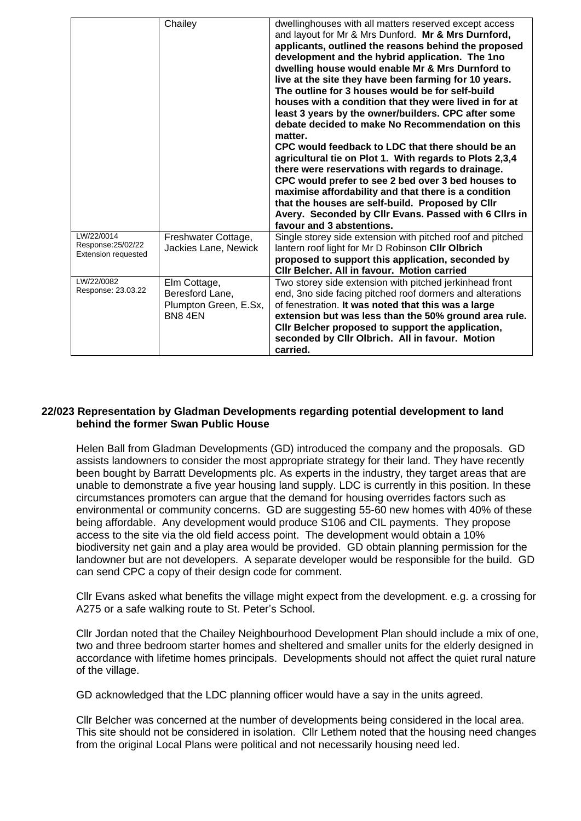#### **22/023 Representation by Gladman Developments regarding potential development to land behind the former Swan Public House**

Helen Ball from Gladman Developments (GD) introduced the company and the proposals. GD assists landowners to consider the most appropriate strategy for their land. They have recently been bought by Barratt Developments plc. As experts in the industry, they target areas that are unable to demonstrate a five year housing land supply. LDC is currently in this position. In these circumstances promoters can argue that the demand for housing overrides factors such as environmental or community concerns. GD are suggesting 55-60 new homes with 40% of these being affordable. Any development would produce S106 and CIL payments. They propose access to the site via the old field access point. The development would obtain a 10% biodiversity net gain and a play area would be provided. GD obtain planning permission for the landowner but are not developers. A separate developer would be responsible for the build. GD can send CPC a copy of their design code for comment.

Cllr Evans asked what benefits the village might expect from the development. e.g. a crossing for A275 or a safe walking route to St. Peter's School.

Cllr Jordan noted that the Chailey Neighbourhood Development Plan should include a mix of one, two and three bedroom starter homes and sheltered and smaller units for the elderly designed in accordance with lifetime homes principals. Developments should not affect the quiet rural nature of the village.

GD acknowledged that the LDC planning officer would have a say in the units agreed.

Cllr Belcher was concerned at the number of developments being considered in the local area. This site should not be considered in isolation. Cllr Lethem noted that the housing need changes from the original Local Plans were political and not necessarily housing need led.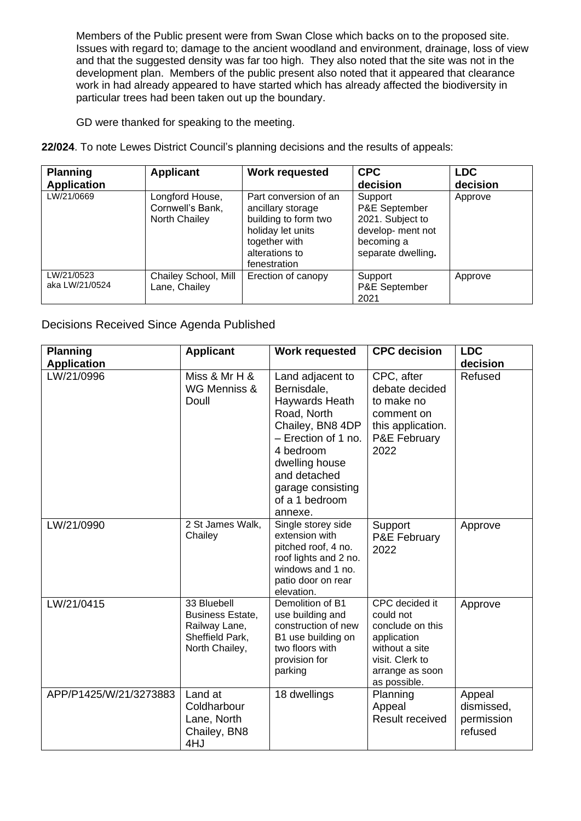Members of the Public present were from Swan Close which backs on to the proposed site. Issues with regard to; damage to the ancient woodland and environment, drainage, loss of view and that the suggested density was far too high. They also noted that the site was not in the development plan. Members of the public present also noted that it appeared that clearance work in had already appeared to have started which has already affected the biodiversity in particular trees had been taken out up the boundary.

GD were thanked for speaking to the meeting.

**22/024**. To note Lewes District Council's planning decisions and the results of appeals:

| <b>Planning</b><br><b>Application</b> | <b>Applicant</b>                                     | <b>Work requested</b>                                                                                                                      | <b>CPC</b><br>decision                                                                                | <b>LDC</b><br>decision |
|---------------------------------------|------------------------------------------------------|--------------------------------------------------------------------------------------------------------------------------------------------|-------------------------------------------------------------------------------------------------------|------------------------|
| LW/21/0669                            | Longford House,<br>Cornwell's Bank,<br>North Chailey | Part conversion of an<br>ancillary storage<br>building to form two<br>holiday let units<br>together with<br>alterations to<br>fenestration | Support<br>P&E September<br>2021. Subject to<br>develop- ment not<br>becoming a<br>separate dwelling. | Approve                |
| LW/21/0523<br>aka LW/21/0524          | Chailey School, Mill<br>Lane, Chailey                | Erection of canopy                                                                                                                         | Support<br>P&E September<br>2021                                                                      | Approve                |

Decisions Received Since Agenda Published

| <b>Planning</b><br><b>Application</b> | <b>Applicant</b>                                                                             | <b>Work requested</b>                                                                                                                                                                                        | <b>CPC</b> decision                                                                                                                    | <b>LDC</b><br>decision                        |
|---------------------------------------|----------------------------------------------------------------------------------------------|--------------------------------------------------------------------------------------------------------------------------------------------------------------------------------------------------------------|----------------------------------------------------------------------------------------------------------------------------------------|-----------------------------------------------|
| LW/21/0996                            | Miss & Mr H &<br>WG Menniss &<br>Doull                                                       | Land adjacent to<br>Bernisdale,<br>Haywards Heath<br>Road, North<br>Chailey, BN8 4DP<br>- Erection of 1 no.<br>4 bedroom<br>dwelling house<br>and detached<br>garage consisting<br>of a 1 bedroom<br>annexe. | CPC, after<br>debate decided<br>to make no<br>comment on<br>this application.<br>P&E February<br>2022                                  | Refused                                       |
| LW/21/0990                            | 2 St James Walk,<br>Chailey                                                                  | Single storey side<br>extension with<br>pitched roof, 4 no.<br>roof lights and 2 no.<br>windows and 1 no.<br>patio door on rear<br>elevation.                                                                | Support<br>P&E February<br>2022                                                                                                        | Approve                                       |
| LW/21/0415                            | 33 Bluebell<br><b>Business Estate,</b><br>Railway Lane,<br>Sheffield Park,<br>North Chailey, | Demolition of B1<br>use building and<br>construction of new<br>B1 use building on<br>two floors with<br>provision for<br>parking                                                                             | CPC decided it<br>could not<br>conclude on this<br>application<br>without a site<br>visit. Clerk to<br>arrange as soon<br>as possible. | Approve                                       |
| APP/P1425/W/21/3273883                | Land at<br>Coldharbour<br>Lane, North<br>Chailey, BN8<br>4HJ                                 | 18 dwellings                                                                                                                                                                                                 | Planning<br>Appeal<br><b>Result received</b>                                                                                           | Appeal<br>dismissed,<br>permission<br>refused |